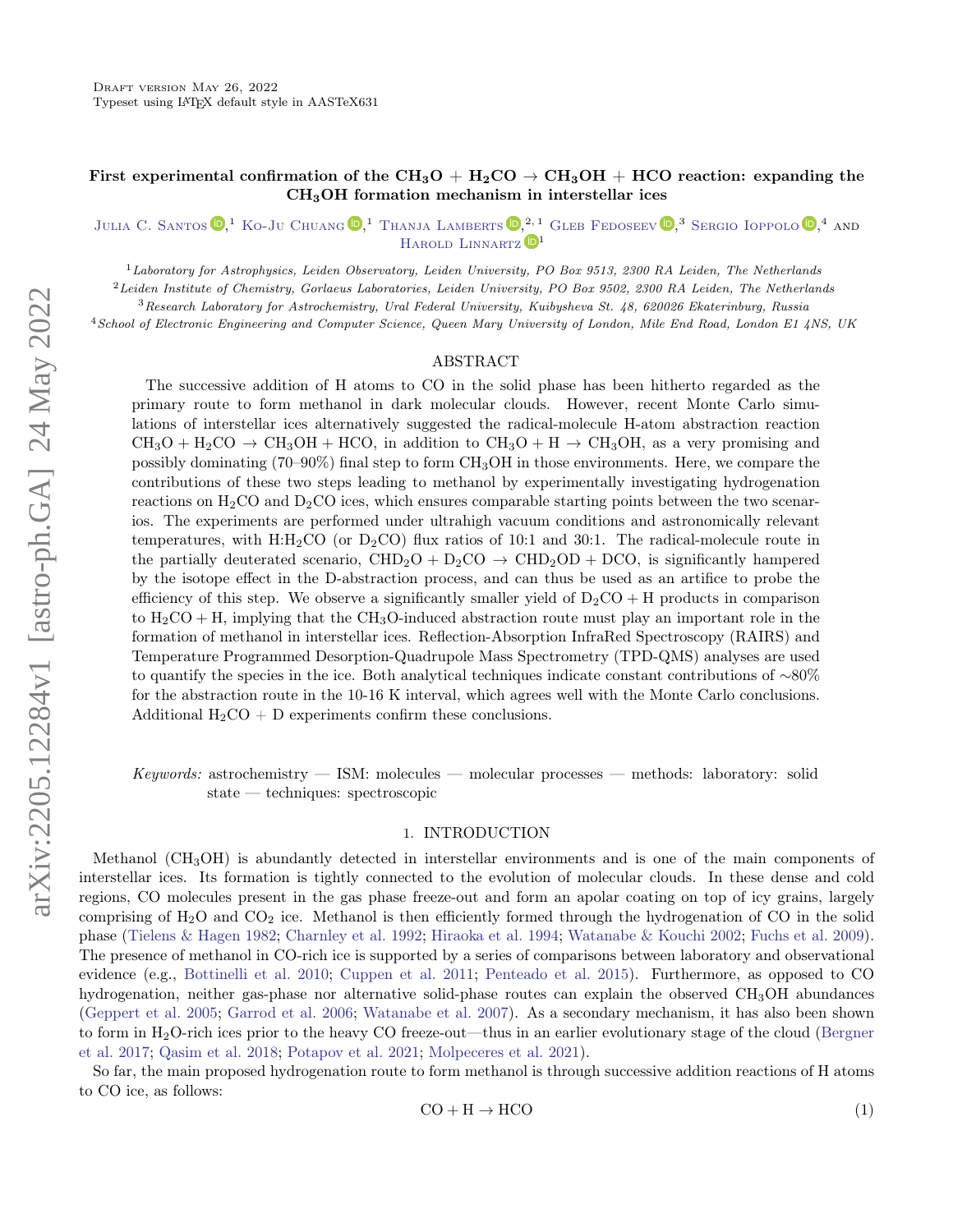# First experimental confirmation of the  $CH_3O + H_2CO \rightarrow CH_3OH + HCO$  reaction: expanding the CH3OH formation mechanism in interstellar ices

[Julia C. Santos](http://orcid.org/0000-0002-3401-5660)  $\mathbb{D}$ , <sup>1</sup> [Ko-Ju Chuang](http://orcid.org/0000-0001-6877-5046)  $\mathbb{D}$ , <sup>1</sup> [Thanja Lamberts](http://orcid.org/0000-0001-6705-2022)  $\mathbb{D}$ , <sup>2, 1</sup> [Gleb Fedoseev](http://orcid.org/0000-0003-2434-2219)  $\mathbb{D}$ , <sup>3</sup> [Sergio Ioppolo](http://orcid.org/0000-0002-2271-1781)  $\mathbb{D}$ , 4 and HAROLD LINNARTZ<sup>D1</sup>

 $1$ Laboratory for Astrophysics, Leiden Observatory, Leiden University, PO Box 9513, 2300 RA Leiden, The Netherlands

<sup>2</sup> Leiden Institute of Chemistry, Gorlaeus Laboratories, Leiden University, PO Box 9502, 2300 RA Leiden, The Netherlands

<sup>3</sup>Research Laboratory for Astrochemistry, Ural Federal University, Kuibysheva St. 48, 620026 Ekaterinburg, Russia

<sup>4</sup>School of Electronic Engineering and Computer Science, Queen Mary University of London, Mile End Road, London E1 4NS, UK

## ABSTRACT

The successive addition of H atoms to CO in the solid phase has been hitherto regarded as the primary route to form methanol in dark molecular clouds. However, recent Monte Carlo simulations of interstellar ices alternatively suggested the radical-molecule H-atom abstraction reaction  $CH_3O + H_2CO \rightarrow CH_3OH + HCO$ , in addition to  $CH_3O + H \rightarrow CH_3OH$ , as a very promising and possibly dominating (70–90%) final step to form CH3OH in those environments. Here, we compare the contributions of these two steps leading to methanol by experimentally investigating hydrogenation reactions on  $H_2CO$  and  $D_2CO$  ices, which ensures comparable starting points between the two scenarios. The experiments are performed under ultrahigh vacuum conditions and astronomically relevant temperatures, with  $H: H_2CO$  (or  $D_2CO$ ) flux ratios of 10:1 and 30:1. The radical-molecule route in the partially deuterated scenario,  $CHD_2O + D_2CO \rightarrow CHD_2OD + DCO$ , is significantly hampered by the isotope effect in the D-abstraction process, and can thus be used as an artifice to probe the efficiency of this step. We observe a significantly smaller yield of  $D_2CO + H$  products in comparison to  $H_2CO + H$ , implying that the CH<sub>3</sub>O-induced abstraction route must play an important role in the formation of methanol in interstellar ices. Reflection-Absorption InfraRed Spectroscopy (RAIRS) and Temperature Programmed Desorption-Quadrupole Mass Spectrometry (TPD-QMS) analyses are used to quantify the species in the ice. Both analytical techniques indicate constant contributions of ∼80% for the abstraction route in the 10-16 K interval, which agrees well with the Monte Carlo conclusions. Additional  $H_2CO + D$  experiments confirm these conclusions.

Keywords: astrochemistry — ISM: molecules — molecular processes — methods: laboratory: solid state — techniques: spectroscopic

#### 1. INTRODUCTION

Methanol (CH3OH) is abundantly detected in interstellar environments and is one of the main components of interstellar ices. Its formation is tightly connected to the evolution of molecular clouds. In these dense and cold regions, CO molecules present in the gas phase freeze-out and form an apolar coating on top of icy grains, largely comprising of  $H_2O$  and  $CO_2$  ice. Methanol is then efficiently formed through the hydrogenation of CO in the solid phase [\(Tielens & Hagen](#page-10-0) [1982;](#page-10-0) [Charnley et al.](#page-9-0) [1992;](#page-9-0) [Hiraoka et al.](#page-10-1) [1994;](#page-10-1) [Watanabe & Kouchi](#page-10-2) [2002;](#page-10-2) [Fuchs et al.](#page-10-3) [2009\)](#page-10-3). The presence of methanol in CO-rich ice is supported by a series of comparisons between laboratory and observational evidence (e.g., [Bottinelli et al.](#page-9-1) [2010;](#page-9-1) [Cuppen et al.](#page-10-4) [2011;](#page-10-4) [Penteado et al.](#page-10-5) [2015\)](#page-10-5). Furthermore, as opposed to CO hydrogenation, neither gas-phase nor alternative solid-phase routes can explain the observed CH<sub>3</sub>OH abundances [\(Geppert et al.](#page-10-6) [2005;](#page-10-6) [Garrod et al.](#page-10-7) [2006;](#page-10-7) [Watanabe et al.](#page-10-8) [2007\)](#page-10-8). As a secondary mechanism, it has also been shown to form in H2O-rich ices prior to the heavy CO freeze-out—thus in an earlier evolutionary stage of the cloud [\(Bergner](#page-9-2) [et al.](#page-9-2) [2017;](#page-9-2) [Qasim et al.](#page-10-9) [2018;](#page-10-9) [Potapov et al.](#page-10-10) [2021;](#page-10-10) [Molpeceres et al.](#page-10-11) [2021\)](#page-10-11).

<span id="page-0-0"></span>So far, the main proposed hydrogenation route to form methanol is through successive addition reactions of H atoms to CO ice, as follows:

$$
CO + H \rightarrow HCO \tag{1}
$$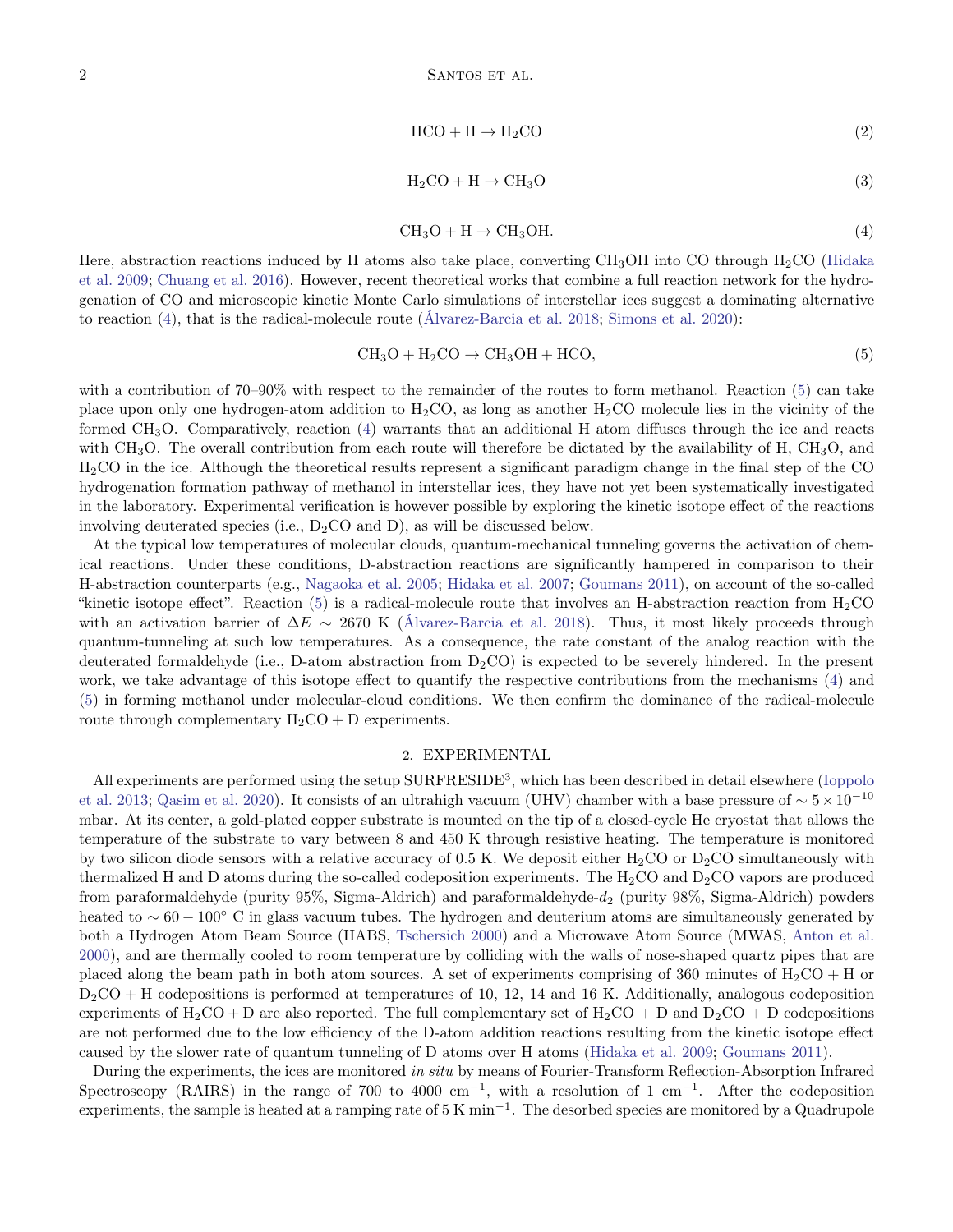$$
HCO + H \to H_2CO
$$
 (2)

$$
H_2CO + H \to CH_3O \tag{3}
$$

<span id="page-1-1"></span>
$$
CH3O + H \rightarrow CH3OH.
$$
 (4)

<span id="page-1-3"></span><span id="page-1-2"></span><span id="page-1-0"></span>Here, abstraction reactions induced by H atoms also take place, converting  $CH_3OH$  into CO through  $H_2CO$  [\(Hidaka](#page-10-12) [et al.](#page-10-12) [2009;](#page-10-12) [Chuang et al.](#page-9-3) [2016\)](#page-9-3). However, recent theoretical works that combine a full reaction network for the hydrogenation of CO and microscopic kinetic Monte Carlo simulations of interstellar ices suggest a dominating alternative to reaction [\(4\)](#page-1-0), that is the radical-molecule route [\(Álvarez-Barcia et al.](#page-8-0) [2018;](#page-8-0) [Simons et al.](#page-10-13) [2020\)](#page-10-13):

$$
CH3O + H2CO \rightarrow CH3OH + HCO,
$$
\n(5)

with a contribution of 70–90% with respect to the remainder of the routes to form methanol. Reaction [\(5\)](#page-1-1) can take place upon only one hydrogen-atom addition to  $H_2CO$ , as long as another  $H_2CO$  molecule lies in the vicinity of the formed CH3O. Comparatively, reaction [\(4\)](#page-1-0) warrants that an additional H atom diffuses through the ice and reacts with CH<sub>3</sub>O. The overall contribution from each route will therefore be dictated by the availability of H, CH<sub>3</sub>O, and H2CO in the ice. Although the theoretical results represent a significant paradigm change in the final step of the CO hydrogenation formation pathway of methanol in interstellar ices, they have not yet been systematically investigated in the laboratory. Experimental verification is however possible by exploring the kinetic isotope effect of the reactions involving deuterated species (i.e.,  $D_2CO$  and D), as will be discussed below.

At the typical low temperatures of molecular clouds, quantum-mechanical tunneling governs the activation of chemical reactions. Under these conditions, D-abstraction reactions are significantly hampered in comparison to their H-abstraction counterparts (e.g., [Nagaoka et al.](#page-10-14) [2005;](#page-10-14) [Hidaka et al.](#page-10-15) [2007;](#page-10-15) [Goumans](#page-10-16) [2011\)](#page-10-16), on account of the so-called "kinetic isotope effect". Reaction [\(5\)](#page-1-1) is a radical-molecule route that involves an H-abstraction reaction from  $H_2CO$ with an activation barrier of  $\Delta E \sim 2670$  K [\(Álvarez-Barcia et al.](#page-8-0) [2018\)](#page-8-0). Thus, it most likely proceeds through quantum-tunneling at such low temperatures. As a consequence, the rate constant of the analog reaction with the deuterated formaldehyde (i.e., D-atom abstraction from  $D_2CO$ ) is expected to be severely hindered. In the present work, we take advantage of this isotope effect to quantify the respective contributions from the mechanisms [\(4\)](#page-1-0) and [\(5\)](#page-1-1) in forming methanol under molecular-cloud conditions. We then confirm the dominance of the radical-molecule route through complementary  $H_2CO + D$  experiments.

### 2. EXPERIMENTAL

All experiments are performed using the setup SURFRESIDE<sup>3</sup>, which has been described in detail elsewhere [\(Ioppolo](#page-10-17) [et al.](#page-10-17) [2013;](#page-10-17) [Qasim et al.](#page-10-18) [2020\)](#page-10-18). It consists of an ultrahigh vacuum (UHV) chamber with a base pressure of  $\sim 5 \times 10^{-10}$ mbar. At its center, a gold-plated copper substrate is mounted on the tip of a closed-cycle He cryostat that allows the temperature of the substrate to vary between 8 and 450 K through resistive heating. The temperature is monitored by two silicon diode sensors with a relative accuracy of 0.5 K. We deposit either  $H_2CO$  or  $D_2CO$  simultaneously with thermalized H and D atoms during the so-called codeposition experiments. The  $H_2CO$  and  $D_2CO$  vapors are produced from paraformaldehyde (purity 95%, Sigma-Aldrich) and paraformaldehyde- $d_2$  (purity 98%, Sigma-Aldrich) powders heated to ∼ 60 − 100◦ C in glass vacuum tubes. The hydrogen and deuterium atoms are simultaneously generated by both a Hydrogen Atom Beam Source (HABS, [Tschersich](#page-10-19) [2000\)](#page-10-19) and a Microwave Atom Source (MWAS, [Anton et al.](#page-8-1) [2000\)](#page-8-1), and are thermally cooled to room temperature by colliding with the walls of nose-shaped quartz pipes that are placed along the beam path in both atom sources. A set of experiments comprising of 360 minutes of  $H_2CO + H$  or  $D_2CO + H$  codepositions is performed at temperatures of 10, 12, 14 and 16 K. Additionally, analogous codeposition experiments of H<sub>2</sub>CO + D are also reported. The full complementary set of H<sub>2</sub>CO + D and D<sub>2</sub>CO + D codepositions are not performed due to the low efficiency of the D-atom addition reactions resulting from the kinetic isotope effect caused by the slower rate of quantum tunneling of D atoms over H atoms [\(Hidaka et al.](#page-10-12) [2009;](#page-10-12) [Goumans](#page-10-16) [2011\)](#page-10-16).

During the experiments, the ices are monitored in situ by means of Fourier-Transform Reflection-Absorption Infrared Spectroscopy (RAIRS) in the range of 700 to 4000 cm<sup>-1</sup>, with a resolution of 1 cm<sup>-1</sup>. After the codeposition experiments, the sample is heated at a ramping rate of 5 K min<sup>-1</sup>. The desorbed species are monitored by a Quadrupole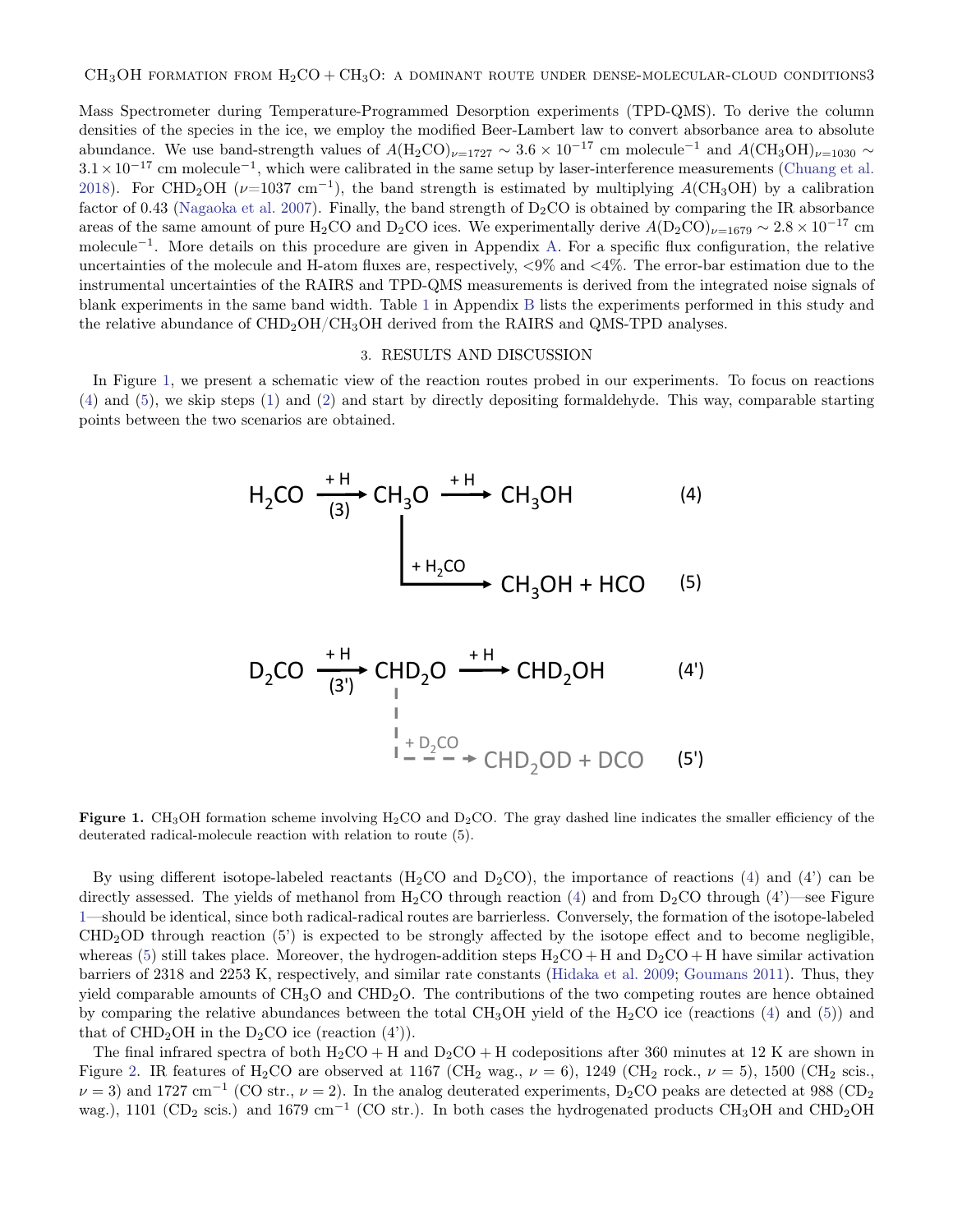Mass Spectrometer during Temperature-Programmed Desorption experiments (TPD-QMS). To derive the column densities of the species in the ice, we employ the modified Beer-Lambert law to convert absorbance area to absolute abundance. We use band-strength values of  $A(H_2CO)_{\nu=1727} \sim 3.6 \times 10^{-17}$  cm molecule<sup>-1</sup> and  $A(CH_3OH)_{\nu=1030} \sim$  $3.1 \times 10^{-17}$  cm molecule<sup>-1</sup>, which were calibrated in the same setup by laser-interference measurements [\(Chuang et al.](#page-10-20) [2018\)](#page-10-20). For CHD<sub>2</sub>OH ( $\nu$ =1037 cm<sup>-1</sup>), the band strength is estimated by multiplying A(CH<sub>3</sub>OH) by a calibration factor of 0.43 [\(Nagaoka et al.](#page-10-21) [2007\)](#page-10-21). Finally, the band strength of  $D_2CO$  is obtained by comparing the IR absorbance areas of the same amount of pure H<sub>2</sub>CO and D<sub>2</sub>CO ices. We experimentally derive  $A(D_2CO)_{\nu=1679} \sim 2.8 \times 10^{-17}$  cm molecule<sup>−</sup><sup>1</sup> . More details on this procedure are given in Appendix [A.](#page-8-2) For a specific flux configuration, the relative uncertainties of the molecule and H-atom fluxes are, respectively, <9% and <4%. The error-bar estimation due to the instrumental uncertainties of the RAIRS and TPD-QMS measurements is derived from the integrated noise signals of blank experiments in the same band width. Table [1](#page-9-4) in Appendix [B](#page-8-3) lists the experiments performed in this study and the relative abundance of  $CHD_2OH/CH_3OH$  derived from the RAIRS and QMS-TPD analyses.

#### 3. RESULTS AND DISCUSSION

In Figure [1,](#page-2-0) we present a schematic view of the reaction routes probed in our experiments. To focus on reactions [\(4\)](#page-1-0) and [\(5\)](#page-1-1), we skip steps [\(1\)](#page-0-0) and [\(2\)](#page-1-2) and start by directly depositing formaldehyde. This way, comparable starting points between the two scenarios are obtained.

$$
H2CO \xrightarrow{(3)} CH3O \xrightarrow{+H} CH3OH
$$
 (4)  
\n
$$
H2CO \xrightarrow{+H2CO} CH3OH
$$
 (4)  
\n
$$
CH3OH + HCO
$$
 (5)

$$
D_2CO \xrightarrow{\text{+H}} CHD_2O \xrightarrow{\text{+H}} CHD_2OH \qquad (4')
$$
\n
$$
\downarrow{\text{+}} D_2CO
$$
\n
$$
\downarrow{\text{+}} D_2CO
$$
\n
$$
\downarrow{\text{+}} D_2CO
$$
\n
$$
\downarrow{\text{+}} D_2CO
$$
\n
$$
\downarrow{\text{+}} D_2CO
$$
\n
$$
\downarrow{\text{+}} D_2CO
$$
\n
$$
\downarrow{\text{+}} D_2CO
$$
\n
$$
\downarrow{\text{+}} D_2CO
$$
\n
$$
\downarrow{\text{+}} D_2CO
$$
\n
$$
\downarrow{\text{+}} D_2CO
$$
\n
$$
\downarrow{\text{+}} D_2CO
$$
\n
$$
\downarrow{\text{+}} D_2CO
$$
\n
$$
\downarrow{\text{+}} D_2CO
$$

<span id="page-2-0"></span>**Figure 1.** CH<sub>3</sub>OH formation scheme involving H<sub>2</sub>CO and D<sub>2</sub>CO. The gray dashed line indicates the smaller efficiency of the deuterated radical-molecule reaction with relation to route (5).

By using different isotope-labeled reactants (H<sub>2</sub>CO and D<sub>2</sub>CO), the importance of reactions [\(4\)](#page-1-0) and (4) can be directly assessed. The yields of methanol from  $H_2CO$  through reaction [\(4\)](#page-1-0) and from  $D_2CO$  through (4')—see Figure [1—](#page-2-0)should be identical, since both radical-radical routes are barrierless. Conversely, the formation of the isotope-labeled  $CHD<sub>2</sub>OD$  through reaction (5') is expected to be strongly affected by the isotope effect and to become negligible. whereas [\(5\)](#page-1-1) still takes place. Moreover, the hydrogen-addition steps  $H_2CO + H$  and  $D_2CO + H$  have similar activation barriers of 2318 and 2253 K, respectively, and similar rate constants [\(Hidaka et al.](#page-10-12) [2009;](#page-10-12) [Goumans](#page-10-16) [2011\)](#page-10-16). Thus, they yield comparable amounts of  $CH_3O$  and  $CHD_2O$ . The contributions of the two competing routes are hence obtained by comparing the relative abundances between the total CH<sub>3</sub>OH yield of the H<sub>2</sub>CO ice (reactions [\(4\)](#page-1-0) and [\(5\)](#page-1-1)) and that of  $CHD<sub>2</sub>OH$  in the D<sub>2</sub>CO ice (reaction  $(4')$ ).

The final infrared spectra of both  $H_2CO + H$  and  $D_2CO + H$  codepositions after 360 minutes at 12 K are shown in Figure [2.](#page-3-0) IR features of H<sub>2</sub>CO are observed at 1167 (CH<sub>2</sub> wag.,  $\nu = 6$ ), 1249 (CH<sub>2</sub> rock.,  $\nu = 5$ ), 1500 (CH<sub>2</sub> scis.,  $\nu = 3$ ) and 1727 cm<sup>-1</sup> (CO str.,  $\nu = 2$ ). In the analog deuterated experiments, D<sub>2</sub>CO peaks are detected at 988 (CD<sub>2</sub>) wag.), 1101 (CD<sub>2</sub> scis.) and 1679 cm<sup>-1</sup> (CO str.). In both cases the hydrogenated products CH<sub>3</sub>OH and CHD<sub>2</sub>OH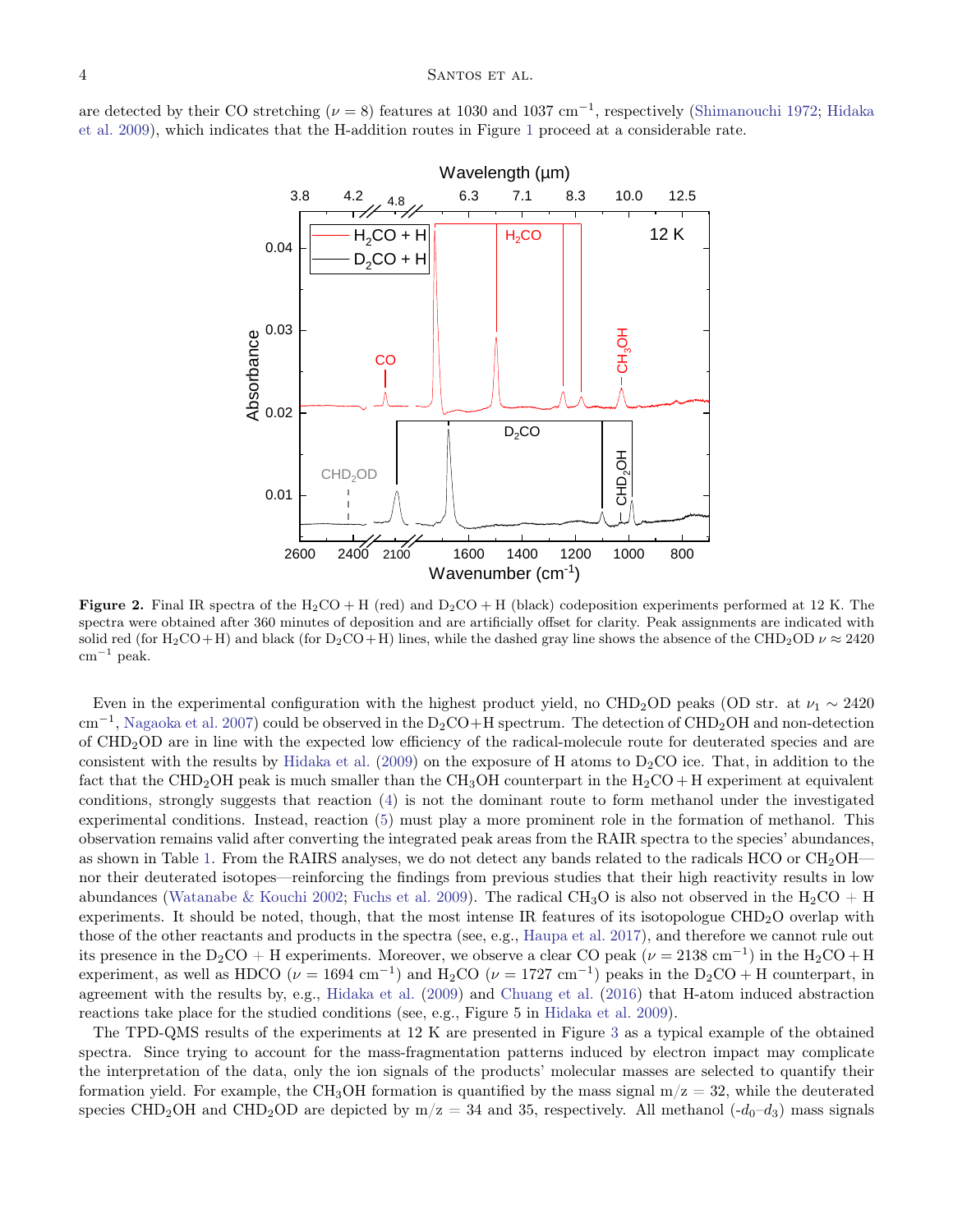are detected by their CO stretching ( $\nu = 8$ ) features at 1030 and 1037 cm<sup>-1</sup>, respectively [\(Shimanouchi](#page-10-22) [1972;](#page-10-22) [Hidaka](#page-10-12) [et al.](#page-10-12) [2009\)](#page-10-12), which indicates that the H-addition routes in Figure [1](#page-2-0) proceed at a considerable rate.



<span id="page-3-0"></span>**Figure 2.** Final IR spectra of the H<sub>2</sub>CO + H (red) and  $D_2CO + H$  (black) codeposition experiments performed at 12 K. The spectra were obtained after 360 minutes of deposition and are artificially offset for clarity. Peak assignments are indicated with solid red (for H<sub>2</sub>CO+H) and black (for D<sub>2</sub>CO+H) lines, while the dashed gray line shows the absence of the CHD<sub>2</sub>OD  $\nu \approx 2420$  $cm^{-1}$  peak.

Even in the experimental configuration with the highest product yield, no CHD<sub>2</sub>OD peaks (OD str. at  $\nu_1 \sim 2420$ cm<sup>-1</sup>, [Nagaoka et al.](#page-10-21) [2007\)](#page-10-21) could be observed in the D<sub>2</sub>CO+H spectrum. The detection of CHD<sub>2</sub>OH and non-detection of CHD2OD are in line with the expected low efficiency of the radical-molecule route for deuterated species and are consistent with the results by [Hidaka et al.](#page-10-12) [\(2009\)](#page-10-12) on the exposure of H atoms to  $D_2CO$  ice. That, in addition to the fact that the CHD<sub>2</sub>OH peak is much smaller than the CH<sub>3</sub>OH counterpart in the H<sub>2</sub>CO + H experiment at equivalent conditions, strongly suggests that reaction [\(4\)](#page-1-0) is not the dominant route to form methanol under the investigated experimental conditions. Instead, reaction [\(5\)](#page-1-1) must play a more prominent role in the formation of methanol. This observation remains valid after converting the integrated peak areas from the RAIR spectra to the species' abundances, as shown in Table [1.](#page-9-4) From the RAIRS analyses, we do not detect any bands related to the radicals HCO or  $CH_2OH$  nor their deuterated isotopes—reinforcing the findings from previous studies that their high reactivity results in low abundances [\(Watanabe & Kouchi](#page-10-2) [2002;](#page-10-2) [Fuchs et al.](#page-10-3) [2009\)](#page-10-3). The radical CH<sub>3</sub>O is also not observed in the H<sub>2</sub>CO + H experiments. It should be noted, though, that the most intense IR features of its isotopologue CHD2O overlap with those of the other reactants and products in the spectra (see, e.g., [Haupa et al.](#page-10-23) [2017\)](#page-10-23), and therefore we cannot rule out its presence in the D<sub>2</sub>CO + H experiments. Moreover, we observe a clear CO peak ( $\nu = 2138$  cm<sup>-1</sup>) in the H<sub>2</sub>CO + H experiment, as well as HDCO ( $\nu = 1694$  cm<sup>-1</sup>) and H<sub>2</sub>CO ( $\nu = 1727$  cm<sup>-1</sup>) peaks in the D<sub>2</sub>CO + H counterpart, in agreement with the results by, e.g., [Hidaka et al.](#page-10-12) [\(2009\)](#page-10-12) and [Chuang et al.](#page-9-3) [\(2016\)](#page-9-3) that H-atom induced abstraction reactions take place for the studied conditions (see, e.g., Figure 5 in [Hidaka et al.](#page-10-12) [2009\)](#page-10-12).

The TPD-QMS results of the experiments at 12 K are presented in Figure [3](#page-4-0) as a typical example of the obtained spectra. Since trying to account for the mass-fragmentation patterns induced by electron impact may complicate the interpretation of the data, only the ion signals of the products' molecular masses are selected to quantify their formation yield. For example, the CH<sub>3</sub>OH formation is quantified by the mass signal  $m/z = 32$ , while the deuterated species CHD<sub>2</sub>OH and CHD<sub>2</sub>OD are depicted by  $m/z = 34$  and 35, respectively. All methanol  $(-d_0-d_3)$  mass signals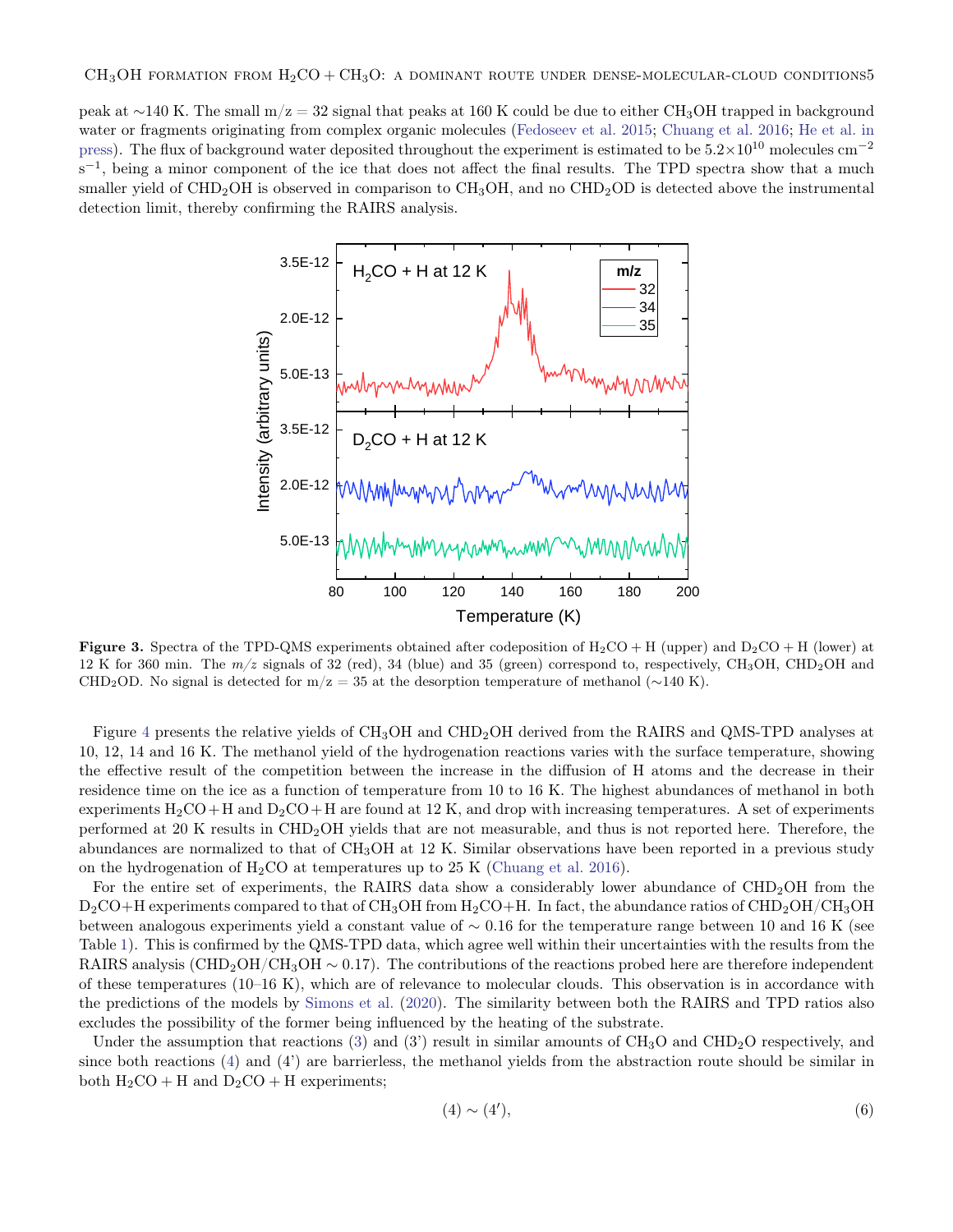peak at ∼140 K. The small m/z = 32 signal that peaks at 160 K could be due to either CH3OH trapped in background water or fragments originating from complex organic molecules [\(Fedoseev et al.](#page-10-24) [2015;](#page-10-24) [Chuang et al.](#page-9-3) [2016;](#page-9-3) [He et al.](#page-10-25) [in](#page-10-25) [press\)](#page-10-25). The flux of background water deposited throughout the experiment is estimated to be  $5.2\times10^{10}$  molecules cm<sup>-2</sup> s<sup>-1</sup>, being a minor component of the ice that does not affect the final results. The TPD spectra show that a much smaller yield of  $CHD<sub>2</sub>OH$  is observed in comparison to  $CH<sub>3</sub>OH$ , and no  $CHD<sub>2</sub>OD$  is detected above the instrumental detection limit, thereby confirming the RAIRS analysis.



<span id="page-4-0"></span>**Figure 3.** Spectra of the TPD-QMS experiments obtained after codeposition of  $H_2CO + H$  (upper) and  $D_2CO + H$  (lower) at 12 K for 360 min. The  $m/z$  signals of 32 (red), 34 (blue) and 35 (green) correspond to, respectively, CH<sub>3</sub>OH, CHD<sub>2</sub>OH and CHD<sub>2</sub>OD. No signal is detected for m/z = 35 at the desorption temperature of methanol ( $\sim$ 140 K).

Figure [4](#page-5-0) presents the relative yields of CH<sub>3</sub>OH and CHD<sub>2</sub>OH derived from the RAIRS and QMS-TPD analyses at 10, 12, 14 and 16 K. The methanol yield of the hydrogenation reactions varies with the surface temperature, showing the effective result of the competition between the increase in the diffusion of H atoms and the decrease in their residence time on the ice as a function of temperature from 10 to 16 K. The highest abundances of methanol in both experiments  $H_2CO+H$  and  $D_2CO+H$  are found at 12 K, and drop with increasing temperatures. A set of experiments performed at 20 K results in CHD2OH yields that are not measurable, and thus is not reported here. Therefore, the abundances are normalized to that of CH3OH at 12 K. Similar observations have been reported in a previous study on the hydrogenation of  $H_2CO$  at temperatures up to 25 K [\(Chuang et al.](#page-9-3) [2016\)](#page-9-3).

For the entire set of experiments, the RAIRS data show a considerably lower abundance of  $CHD<sub>2</sub>OH$  from the  $D_2CO+H$  experiments compared to that of  $CH_3OH$  from  $H_2CO+H$ . In fact, the abundance ratios of  $CHD_2OH/CH_3OH$ between analogous experiments yield a constant value of ∼ 0.16 for the temperature range between 10 and 16 K (see Table [1\)](#page-9-4). This is confirmed by the QMS-TPD data, which agree well within their uncertainties with the results from the RAIRS analysis (CHD<sub>2</sub>OH/CH<sub>3</sub>OH  $\sim$  0.17). The contributions of the reactions probed here are therefore independent of these temperatures (10–16 K), which are of relevance to molecular clouds. This observation is in accordance with the predictions of the models by [Simons et al.](#page-10-13) [\(2020\)](#page-10-13). The similarity between both the RAIRS and TPD ratios also excludes the possibility of the former being influenced by the heating of the substrate.

Under the assumption that reactions [\(3\)](#page-1-3) and (3) result in similar amounts of  $CH_3O$  and  $CHD_2O$  respectively, and since both reactions [\(4\)](#page-1-0) and (4') are barrierless, the methanol yields from the abstraction route should be similar in both  $H_2CO + H$  and  $D_2CO + H$  experiments;

$$
(4) \sim (4'),\tag{6}
$$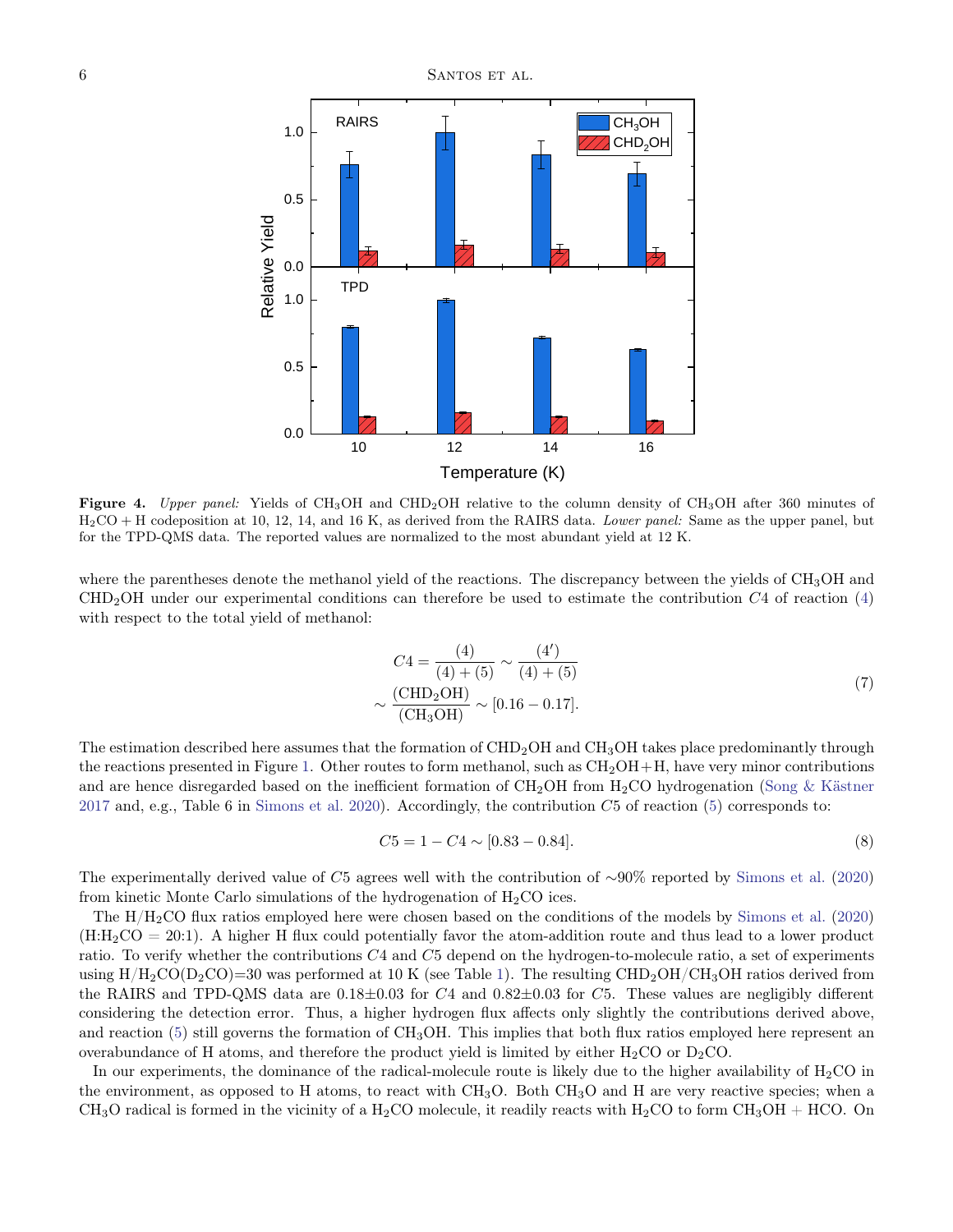

<span id="page-5-0"></span>Figure 4. Upper panel: Yields of CH<sub>3</sub>OH and CHD<sub>2</sub>OH relative to the column density of CH<sub>3</sub>OH after 360 minutes of H2CO + H codeposition at 10, 12, 14, and 16 K, as derived from the RAIRS data. Lower panel: Same as the upper panel, but for the TPD-QMS data. The reported values are normalized to the most abundant yield at 12 K.

where the parentheses denote the methanol yield of the reactions. The discrepancy between the yields of CH<sub>3</sub>OH and  $CHD<sub>2</sub>OH$  under our experimental conditions can therefore be used to estimate the contribution  $C<sub>4</sub>$  of reaction [\(4\)](#page-1-0) with respect to the total yield of methanol:

$$
C4 = \frac{(4)}{(4) + (5)} \sim \frac{(4')}{(4) + (5)}
$$
  

$$
\sim \frac{\text{(CHD2OH)}}{\text{(CH3OH)}} \sim [0.16 - 0.17].
$$
 (7)

The estimation described here assumes that the formation of CHD<sub>2</sub>OH and CH<sub>3</sub>OH takes place predominantly through the reactions presented in Figure [1.](#page-2-0) Other routes to form methanol, such as  $CH<sub>2</sub>OH+H$ , have very minor contributions and are hence disregarded based on the inefficient formation of  $CH_2OH$  from  $H_2CO$  hydrogenation [\(Song & Kästner](#page-10-26) [2017](#page-10-26) and, e.g., Table 6 in [Simons et al.](#page-10-13) [2020\)](#page-10-13). Accordingly, the contribution C5 of reaction [\(5\)](#page-1-1) corresponds to:

$$
C5 = 1 - C4 \sim [0.83 - 0.84]. \tag{8}
$$

The experimentally derived value of C5 agrees well with the contribution of ∼90% reported by [Simons et al.](#page-10-13) [\(2020\)](#page-10-13) from kinetic Monte Carlo simulations of the hydrogenation of  $H_2CO$  ices.

The H/H2CO flux ratios employed here were chosen based on the conditions of the models by [Simons et al.](#page-10-13) [\(2020\)](#page-10-13)  $(H:H_2CO = 20:1)$ . A higher H flux could potentially favor the atom-addition route and thus lead to a lower product ratio. To verify whether the contributions C4 and C5 depend on the hydrogen-to-molecule ratio, a set of experiments using  $H/H_2CO(D_2CO)=30$  was performed at 10 K (see Table [1\)](#page-9-4). The resulting  $CHD_2OH/CH_3OH$  ratios derived from the RAIRS and TPD-QMS data are  $0.18\pm0.03$  for  $C4$  and  $0.82\pm0.03$  for  $C5$ . These values are negligibly different considering the detection error. Thus, a higher hydrogen flux affects only slightly the contributions derived above, and reaction  $(5)$  still governs the formation of CH<sub>3</sub>OH. This implies that both flux ratios employed here represent an overabundance of H atoms, and therefore the product yield is limited by either  $H_2CO$  or  $D_2CO$ .

In our experiments, the dominance of the radical-molecule route is likely due to the higher availability of  $H_2CO$  in the environment, as opposed to H atoms, to react with  $CH_3O$ . Both  $CH_3O$  and H are very reactive species; when a  $CH<sub>3</sub>O$  radical is formed in the vicinity of a  $H<sub>2</sub>CO$  molecule, it readily reacts with  $H<sub>2</sub>CO$  to form  $CH<sub>3</sub>OH + HCO$ . On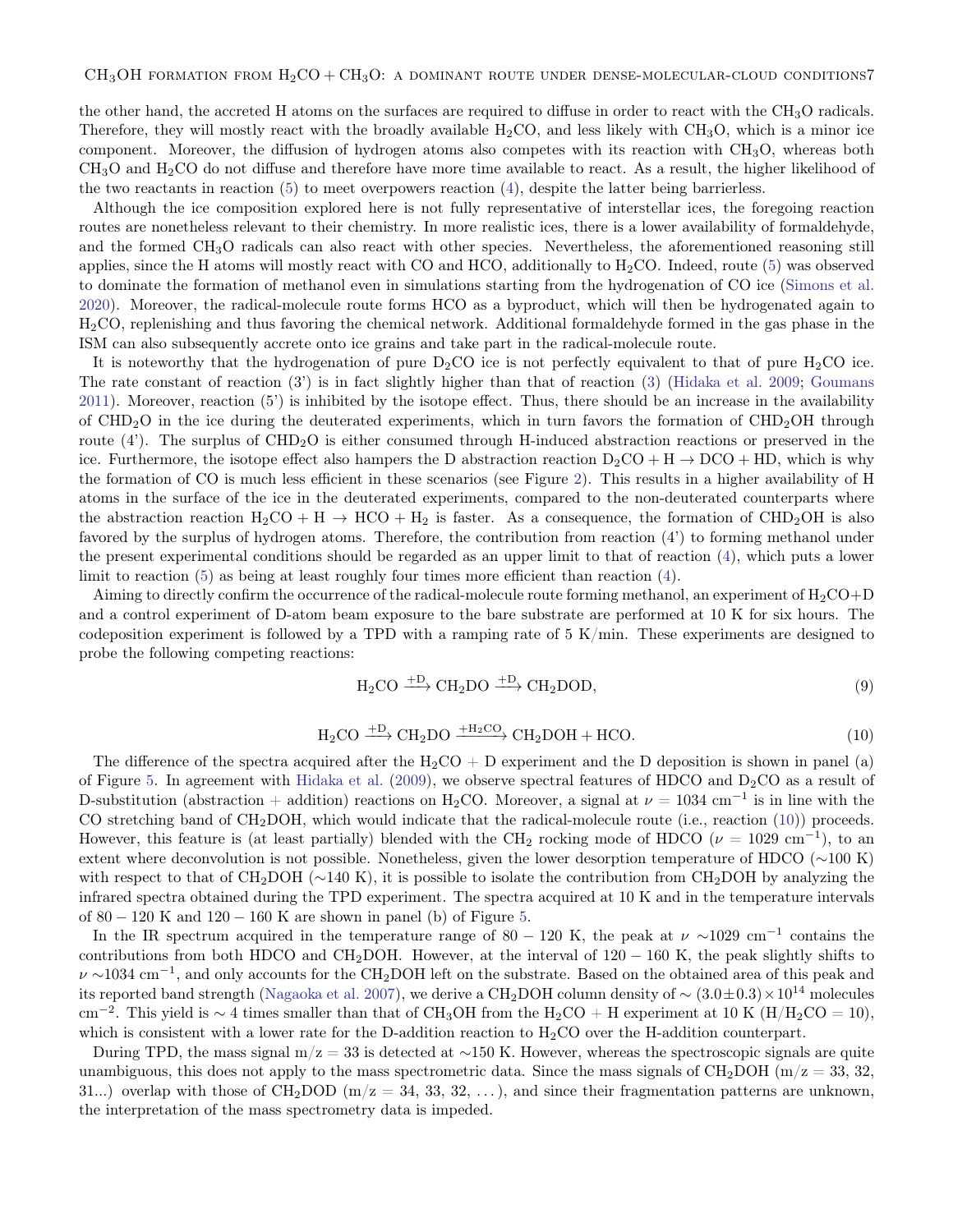the other hand, the accreted H atoms on the surfaces are required to diffuse in order to react with the  $CH_3O$  radicals. Therefore, they will mostly react with the broadly available  $H_2CO$ , and less likely with  $CH_3O$ , which is a minor ice component. Moreover, the diffusion of hydrogen atoms also competes with its reaction with  $CH<sub>3</sub>O$ , whereas both  $CH<sub>3</sub>O$  and  $H<sub>2</sub>CO$  do not diffuse and therefore have more time available to react. As a result, the higher likelihood of the two reactants in reaction [\(5\)](#page-1-1) to meet overpowers reaction [\(4\)](#page-1-0), despite the latter being barrierless.

Although the ice composition explored here is not fully representative of interstellar ices, the foregoing reaction routes are nonetheless relevant to their chemistry. In more realistic ices, there is a lower availability of formaldehyde, and the formed CH3O radicals can also react with other species. Nevertheless, the aforementioned reasoning still applies, since the H atoms will mostly react with CO and HCO, additionally to  $H_2CO$ . Indeed, route [\(5\)](#page-1-1) was observed to dominate the formation of methanol even in simulations starting from the hydrogenation of CO ice [\(Simons et al.](#page-10-13) [2020\)](#page-10-13). Moreover, the radical-molecule route forms HCO as a byproduct, which will then be hydrogenated again to H2CO, replenishing and thus favoring the chemical network. Additional formaldehyde formed in the gas phase in the ISM can also subsequently accrete onto ice grains and take part in the radical-molecule route.

It is noteworthy that the hydrogenation of pure  $D_2CO$  ice is not perfectly equivalent to that of pure  $H_2CO$  ice. The rate constant of reaction (3') is in fact slightly higher than that of reaction [\(3\)](#page-1-3) [\(Hidaka et al.](#page-10-12) [2009;](#page-10-12) [Goumans](#page-10-16) [2011\)](#page-10-16). Moreover, reaction (5') is inhibited by the isotope effect. Thus, there should be an increase in the availability of  $CHD<sub>2</sub>O$  in the ice during the deuterated experiments, which in turn favors the formation of  $CHD<sub>2</sub>OH$  through route (4'). The surplus of CHD<sub>2</sub>O is either consumed through H-induced abstraction reactions or preserved in the ice. Furthermore, the isotope effect also hampers the D abstraction reaction  $D_2CO + H \rightarrow DCO + HD$ , which is why the formation of CO is much less efficient in these scenarios (see Figure [2\)](#page-3-0). This results in a higher availability of H atoms in the surface of the ice in the deuterated experiments, compared to the non-deuterated counterparts where the abstraction reaction  $H_2CO + H \rightarrow HCO + H_2$  is faster. As a consequence, the formation of  $CHD_2OH$  is also favored by the surplus of hydrogen atoms. Therefore, the contribution from reaction (4') to forming methanol under the present experimental conditions should be regarded as an upper limit to that of reaction [\(4\)](#page-1-0), which puts a lower limit to reaction [\(5\)](#page-1-1) as being at least roughly four times more efficient than reaction [\(4\)](#page-1-0).

Aiming to directly confirm the occurrence of the radical-molecule route forming methanol, an experiment of  $H_2CO+D$ and a control experiment of D-atom beam exposure to the bare substrate are performed at 10 K for six hours. The codeposition experiment is followed by a TPD with a ramping rate of  $5 \text{ K/min}$ . These experiments are designed to probe the following competing reactions:

<span id="page-6-1"></span>
$$
H_2CO \xrightarrow{+D} CH_2DO \xrightarrow{+D} CH_2DOD,
$$
\n(9)

$$
H_2CO \xrightarrow{+D} CH_2DO \xrightarrow{+H_2CO} CH_2DOH + HCO.
$$
\n
$$
(10)
$$

<span id="page-6-0"></span>The difference of the spectra acquired after the  $H_2CO + D$  experiment and the D deposition is shown in panel (a) of Figure [5.](#page-7-0) In agreement with [Hidaka et al.](#page-10-12) [\(2009\)](#page-10-12), we observe spectral features of HDCO and  $D_2CO$  as a result of D-substitution (abstraction + addition) reactions on H<sub>2</sub>CO. Moreover, a signal at  $\nu = 1034$  cm<sup>-1</sup> is in line with the CO stretching band of  $CH_2DOH$ , which would indicate that the radical-molecule route (i.e., reaction [\(10\)](#page-6-0)) proceeds. However, this feature is (at least partially) blended with the CH<sub>2</sub> rocking mode of HDCO ( $\nu = 1029$  cm<sup>-1</sup>), to an extent where deconvolution is not possible. Nonetheless, given the lower desorption temperature of HDCO (∼100 K) with respect to that of CH<sub>2</sub>DOH ( $\sim$ 140 K), it is possible to isolate the contribution from CH<sub>2</sub>DOH by analyzing the infrared spectra obtained during the TPD experiment. The spectra acquired at 10 K and in the temperature intervals of  $80 - 120$  K and  $120 - 160$  K are shown in panel (b) of Figure [5.](#page-7-0)

In the IR spectrum acquired in the temperature range of 80 – 120 K, the peak at  $\nu \sim 1029$  cm<sup>-1</sup> contains the contributions from both HDCO and CH<sub>2</sub>DOH. However, at the interval of  $120 - 160$  K, the peak slightly shifts to  $\nu \sim 1034 \text{ cm}^{-1}$ , and only accounts for the CH<sub>2</sub>DOH left on the substrate. Based on the obtained area of this peak and its reported band strength [\(Nagaoka et al.](#page-10-21) [2007\)](#page-10-21), we derive a CH<sub>2</sub>DOH column density of  $\sim (3.0 \pm 0.3) \times 10^{14}$  molecules cm<sup>-2</sup>. This yield is ~ 4 times smaller than that of CH<sub>3</sub>OH from the H<sub>2</sub>CO + H experiment at 10 K (H/H<sub>2</sub>CO = 10), which is consistent with a lower rate for the D-addition reaction to  $H_2CO$  over the H-addition counterpart.

During TPD, the mass signal m/z = 33 is detected at ∼150 K. However, whereas the spectroscopic signals are quite unambiguous, this does not apply to the mass spectrometric data. Since the mass signals of  $CH_2DOH$  (m/z = 33, 32, 31...) overlap with those of CH<sub>2</sub>DOD ( $m/z = 34, 33, 32, \ldots$ ), and since their fragmentation patterns are unknown, the interpretation of the mass spectrometry data is impeded.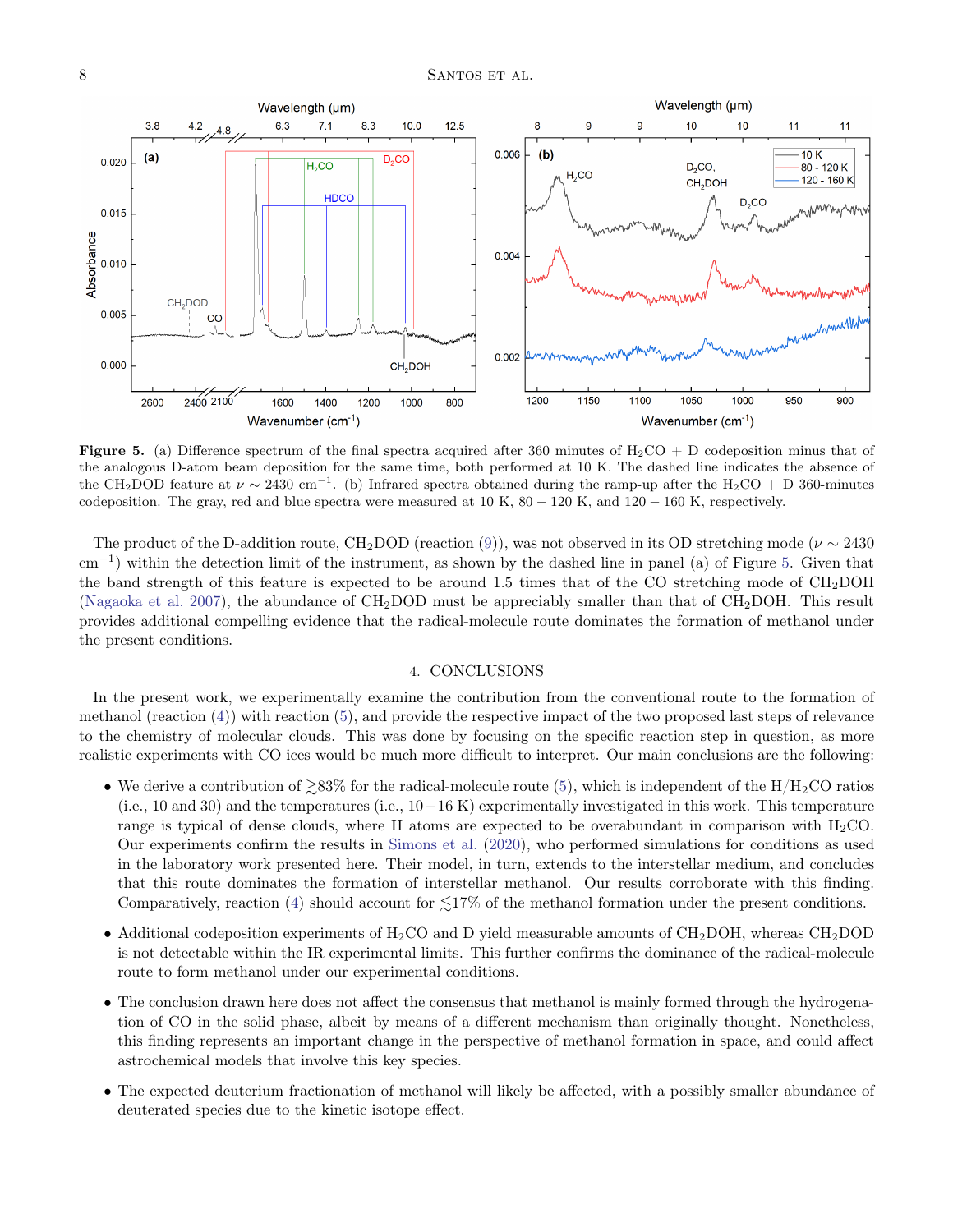

<span id="page-7-0"></span>**Figure 5.** (a) Difference spectrum of the final spectra acquired after 360 minutes of  $H_2CO + D$  codeposition minus that of the analogous D-atom beam deposition for the same time, both performed at 10 K. The dashed line indicates the absence of the CH<sub>2</sub>DOD feature at  $\nu \sim 2430 \text{ cm}^{-1}$ . (b) Infrared spectra obtained during the ramp-up after the H<sub>2</sub>CO + D 360-minutes codeposition. The gray, red and blue spectra were measured at  $10 K$ ,  $80 - 120 K$ , and  $120 - 160 K$ , respectively.

The product of the D-addition route, CH<sub>2</sub>DOD (reaction [\(9\)](#page-6-1)), was not observed in its OD stretching mode ( $\nu \sim 2430$ cm<sup>−</sup><sup>1</sup> ) within the detection limit of the instrument, as shown by the dashed line in panel (a) of Figure [5.](#page-7-0) Given that the band strength of this feature is expected to be around 1.5 times that of the CO stretching mode of  $CH_2DOH$ [\(Nagaoka et al.](#page-10-21) [2007\)](#page-10-21), the abundance of  $CH_2DOD$  must be appreciably smaller than that of  $CH_2DOH$ . This result provides additional compelling evidence that the radical-molecule route dominates the formation of methanol under the present conditions.

# 4. CONCLUSIONS

In the present work, we experimentally examine the contribution from the conventional route to the formation of methanol (reaction [\(4\)](#page-1-0)) with reaction [\(5\)](#page-1-1), and provide the respective impact of the two proposed last steps of relevance to the chemistry of molecular clouds. This was done by focusing on the specific reaction step in question, as more realistic experiments with CO ices would be much more difficult to interpret. Our main conclusions are the following:

- We derive a contribution of  $\gtrsim 83\%$  for the radical-molecule route [\(5\)](#page-1-1), which is independent of the H/H<sub>2</sub>CO ratios  $(i.e., 10 and 30)$  and the temperatures  $(i.e., 10-16 K)$  experimentally investigated in this work. This temperature range is typical of dense clouds, where H atoms are expected to be overabundant in comparison with  $H_2CO$ . Our experiments confirm the results in [Simons et al.](#page-10-13) [\(2020\)](#page-10-13), who performed simulations for conditions as used in the laboratory work presented here. Their model, in turn, extends to the interstellar medium, and concludes that this route dominates the formation of interstellar methanol. Our results corroborate with this finding. Comparatively, reaction [\(4\)](#page-1-0) should account for  $\lesssim$ 17% of the methanol formation under the present conditions.
- Additional codeposition experiments of  $H_2CO$  and D yield measurable amounts of  $CH_2DOH$ , whereas  $CH_2DOD$ is not detectable within the IR experimental limits. This further confirms the dominance of the radical-molecule route to form methanol under our experimental conditions.
- The conclusion drawn here does not affect the consensus that methanol is mainly formed through the hydrogenation of CO in the solid phase, albeit by means of a different mechanism than originally thought. Nonetheless, this finding represents an important change in the perspective of methanol formation in space, and could affect astrochemical models that involve this key species.
- The expected deuterium fractionation of methanol will likely be affected, with a possibly smaller abundance of deuterated species due to the kinetic isotope effect.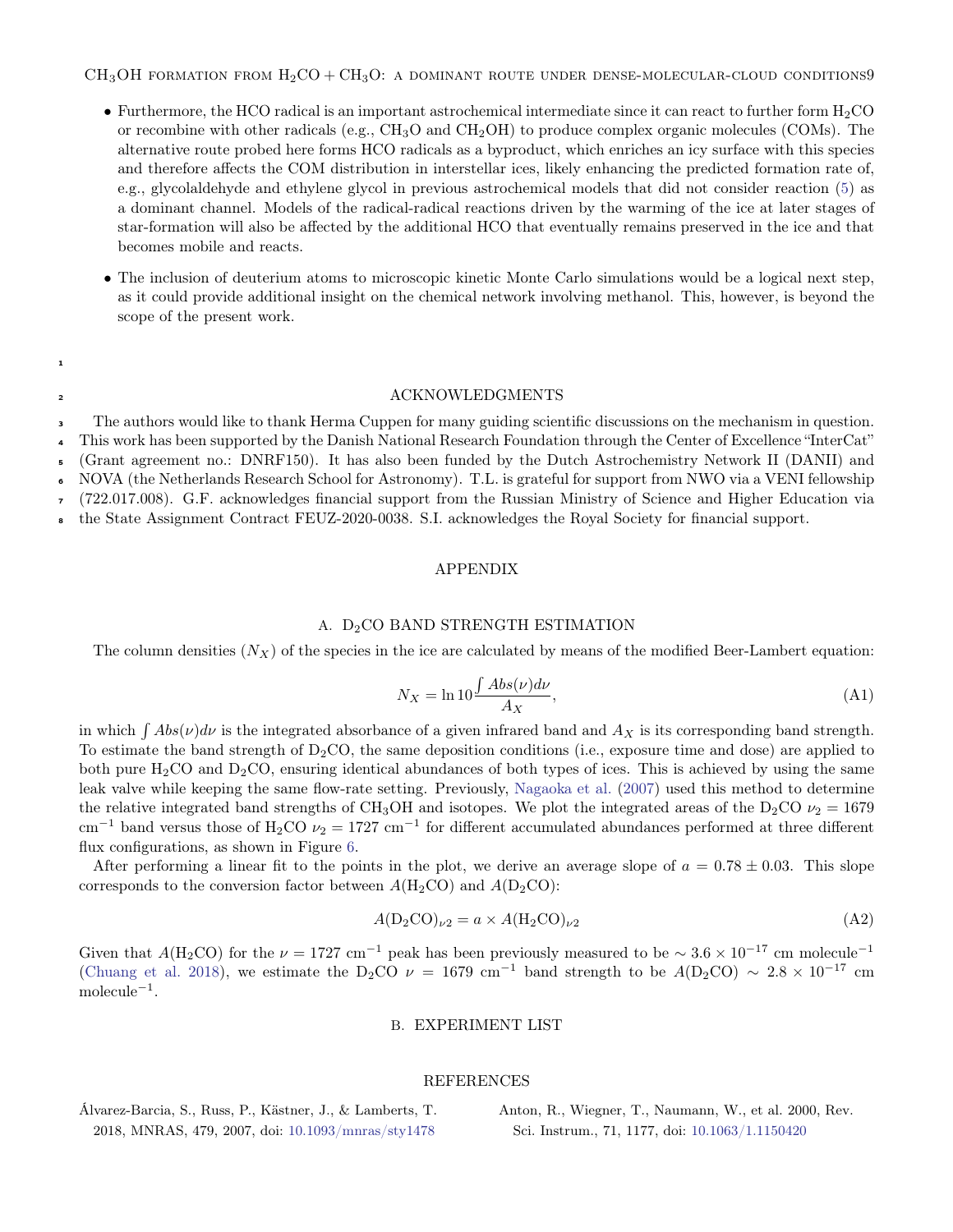$CH<sub>3</sub>OH$  formation from  $H<sub>2</sub>CO + CH<sub>3</sub>O$ : a dominant route under dense-molecular-cloud conditions9

- Furthermore, the HCO radical is an important astrochemical intermediate since it can react to further form  $H_2CO$ or recombine with other radicals (e.g.,  $CH_3O$  and  $CH_2OH$ ) to produce complex organic molecules (COMs). The alternative route probed here forms HCO radicals as a byproduct, which enriches an icy surface with this species and therefore affects the COM distribution in interstellar ices, likely enhancing the predicted formation rate of, e.g., glycolaldehyde and ethylene glycol in previous astrochemical models that did not consider reaction [\(5\)](#page-1-1) as a dominant channel. Models of the radical-radical reactions driven by the warming of the ice at later stages of star-formation will also be affected by the additional HCO that eventually remains preserved in the ice and that becomes mobile and reacts.
- The inclusion of deuterium atoms to microscopic kinetic Monte Carlo simulations would be a logical next step, as it could provide additional insight on the chemical network involving methanol. This, however, is beyond the scope of the present work.

1

## **ACKNOWLEDGMENTS**

The authors would like to thank Herma Cuppen for many guiding scientific discussions on the mechanism in question. 3

This work has been supported by the Danish National Research Foundation through the Center of Excellence "InterCat" 4

(Grant agreement no.: DNRF150). It has also been funded by the Dutch Astrochemistry Network II (DANII) and 5

NOVA (the Netherlands Research School for Astronomy). T.L. is grateful for support from NWO via a VENI fellowship (722.017.008). G.F. acknowledges financial support from the Russian Ministry of Science and Higher Education via 6

the State Assignment Contract FEUZ-2020-0038. S.I. acknowledges the Royal Society for financial support. 7 8

#### APPENDIX

## A. D<sub>2</sub>CO BAND STRENGTH ESTIMATION

<span id="page-8-2"></span>The column densities  $(N_X)$  of the species in the ice are calculated by means of the modified Beer-Lambert equation:

$$
N_X = \ln 10 \frac{\int Abs(\nu) d\nu}{A_X},\tag{A1}
$$

in which  $\int Abs(v)dv$  is the integrated absorbance of a given infrared band and  $A_X$  is its corresponding band strength. To estimate the band strength of  $D_2CO$ , the same deposition conditions (i.e., exposure time and dose) are applied to both pure  $H_2CO$  and  $D_2CO$ , ensuring identical abundances of both types of ices. This is achieved by using the same leak valve while keeping the same flow-rate setting. Previously, [Nagaoka et al.](#page-10-21) [\(2007\)](#page-10-21) used this method to determine the relative integrated band strengths of CH<sub>3</sub>OH and isotopes. We plot the integrated areas of the D<sub>2</sub>CO  $\nu_2 = 1679$  $\text{cm}^{-1}$  band versus those of H<sub>2</sub>CO  $\nu_2 = 1727 \text{ cm}^{-1}$  for different accumulated abundances performed at three different flux configurations, as shown in Figure [6.](#page-9-5)

After performing a linear fit to the points in the plot, we derive an average slope of  $a = 0.78 \pm 0.03$ . This slope corresponds to the conversion factor between  $A(H_2CO)$  and  $A(D_2CO)$ :

$$
A(D_2CO)_{\nu2} = a \times A(H_2CO)_{\nu2}
$$
 (A2)

<span id="page-8-3"></span>Given that  $A(H_2CO)$  for the  $\nu = 1727$  cm<sup>-1</sup> peak has been previously measured to be  $\sim 3.6 \times 10^{-17}$  cm molecule<sup>-1</sup> [\(Chuang et al.](#page-10-20) [2018\)](#page-10-20), we estimate the D<sub>2</sub>CO  $\nu = 1679$  cm<sup>-1</sup> band strength to be  $A(D_2CO) \sim 2.8 \times 10^{-17}$  cm molecule<sup>−</sup><sup>1</sup> .

### B. EXPERIMENT LIST

### REFERENCES

<span id="page-8-0"></span>Álvarez-Barcia, S., Russ, P., Kästner, J., & Lamberts, T. 2018, MNRAS, 479, 2007, doi: [10.1093/mnras/sty1478](http://doi.org/10.1093/mnras/sty1478)

<span id="page-8-1"></span>Anton, R., Wiegner, T., Naumann, W., et al. 2000, Rev. Sci. Instrum., 71, 1177, doi: [10.1063/1.1150420](http://doi.org/10.1063/1.1150420)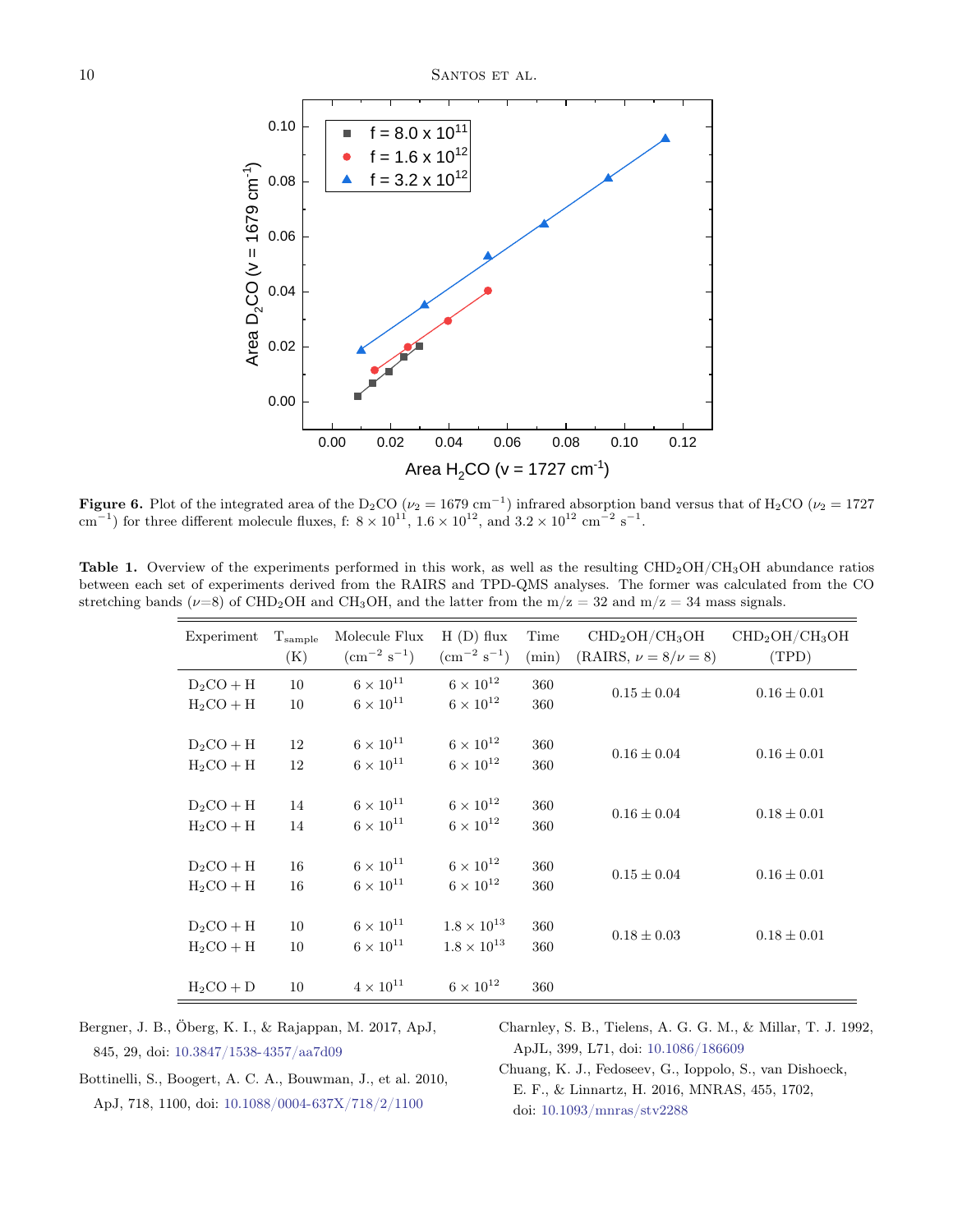

<span id="page-9-5"></span>**Figure 6.** Plot of the integrated area of the D<sub>2</sub>CO ( $\nu_2 = 1679$  cm<sup>-1</sup>) infrared absorption band versus that of H<sub>2</sub>CO ( $\nu_2 = 1727$ cm<sup>-1</sup>) for three different molecule fluxes, f:  $8 \times 10^{11}$ ,  $1.6 \times 10^{12}$ , and  $3.2 \times 10^{12}$  cm<sup>-2</sup> s<sup>-1</sup>.

<span id="page-9-4"></span>Table 1. Overview of the experiments performed in this work, as well as the resulting CHD<sub>2</sub>OH/CH<sub>3</sub>OH abundance ratios between each set of experiments derived from the RAIRS and TPD-QMS analyses. The former was calculated from the CO stretching bands ( $\nu=8$ ) of CHD<sub>2</sub>OH and CH<sub>3</sub>OH, and the latter from the m/z = 32 and m/z = 34 mass signals.

| Experiment  | $T_{\rm sample}$ | Molecule Flux            | $H(D)$ flux              | Time  | $\mathrm{CHD}_2\mathrm{OH}/\mathrm{CH}_3\mathrm{OH}$ | CHD <sub>2</sub> OH/CH <sub>3</sub> OH |
|-------------|------------------|--------------------------|--------------------------|-------|------------------------------------------------------|----------------------------------------|
|             | (K)              | $\rm (cm^{-2} \ s^{-1})$ | $\rm (cm^{-2} \ s^{-1})$ | (min) | $(RAIRS, \nu = 8/\nu = 8)$                           | (TPD)                                  |
| $D_2CO + H$ | 10               | $6\times10^{11}$         | $6 \times 10^{12}$       | 360   | $0.15 \pm 0.04$                                      | $0.16 \pm 0.01$                        |
| $H_2CO + H$ | 10               | $6 \times 10^{11}$       | $6 \times 10^{12}$       | 360   |                                                      |                                        |
|             |                  |                          |                          |       |                                                      |                                        |
| $D_2CO + H$ | 12               | $6\times10^{11}$         | $6 \times 10^{12}$       | 360   | $0.16 \pm 0.04$                                      | $0.16 \pm 0.01$                        |
| $H_2CO + H$ | 12               | $6 \times 10^{11}$       | $6 \times 10^{12}$       | 360   |                                                      |                                        |
|             |                  |                          |                          |       |                                                      |                                        |
| $D_2CO + H$ | 14               | $6\times10^{11}$         | $6 \times 10^{12}$       | 360   | $0.16 \pm 0.04$                                      | $0.18 \pm 0.01$                        |
| $H_2CO + H$ | 14               | $6 \times 10^{11}$       | $6 \times 10^{12}$       | 360   |                                                      |                                        |
|             |                  |                          |                          |       |                                                      |                                        |
| $D_2CO + H$ | 16               | $6 \times 10^{11}$       | $6 \times 10^{12}$       | 360   | $0.15 \pm 0.04$                                      | $0.16 \pm 0.01$                        |
| $H_2CO + H$ | 16               | $6 \times 10^{11}$       | $6 \times 10^{12}$       | 360   |                                                      |                                        |
|             |                  |                          |                          |       |                                                      |                                        |
| $D_2CO + H$ | 10               | $6 \times 10^{11}$       | $1.8 \times 10^{13}$     | 360   | $0.18 \pm 0.03$                                      | $0.18 \pm 0.01$                        |
| $H_2CO + H$ | 10               | $6\times10^{11}$         | $1.8 \times 10^{13}$     | 360   |                                                      |                                        |
|             |                  |                          |                          |       |                                                      |                                        |
| $H_2CO + D$ | 10               | $4 \times 10^{11}$       | $6 \times 10^{12}$       | 360   |                                                      |                                        |
|             |                  |                          |                          |       |                                                      |                                        |

<span id="page-9-2"></span>Bergner, J. B., Öberg, K. I., & Rajappan, M. 2017, ApJ, 845, 29, doi: [10.3847/1538-4357/aa7d09](http://doi.org/10.3847/1538-4357/aa7d09)

<span id="page-9-0"></span>Charnley, S. B., Tielens, A. G. G. M., & Millar, T. J. 1992, ApJL, 399, L71, doi: [10.1086/186609](http://doi.org/10.1086/186609)

<span id="page-9-1"></span>Bottinelli, S., Boogert, A. C. A., Bouwman, J., et al. 2010, ApJ, 718, 1100, doi: [10.1088/0004-637X/718/2/1100](http://doi.org/10.1088/0004-637X/718/2/1100)

<span id="page-9-3"></span>Chuang, K. J., Fedoseev, G., Ioppolo, S., van Dishoeck, E. F., & Linnartz, H. 2016, MNRAS, 455, 1702, doi: [10.1093/mnras/stv2288](http://doi.org/10.1093/mnras/stv2288)